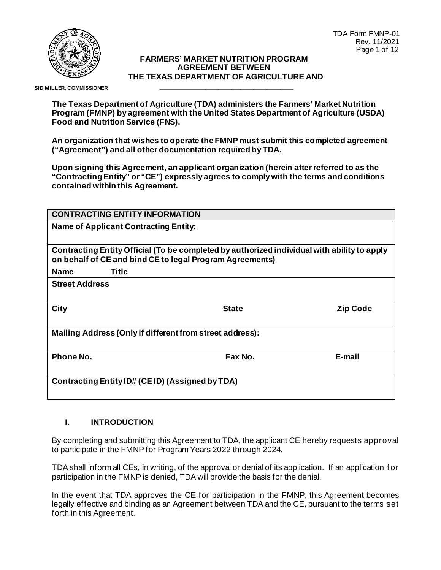

#### **FARMERS' MARKET NUTRITION PROGRAM AGREEMENT BETWEEN THE TEXAS DEPARTMENT OF AGRICULTURE AND**

**\_\_\_\_\_\_\_\_\_\_\_\_\_\_\_\_\_\_\_\_\_\_\_\_\_\_\_\_\_\_**

 **SID MILLER, COMMISSIONER**

**The Texas Department of Agriculture (TDA) administers the Farmers' Market Nutrition Program (FMNP) by agreement with the United States Department of Agriculture (USDA) Food and Nutrition Service (FNS).** 

**An organization that wishes to operate the FMNP must submit this completed agreement ("Agreement") and all other documentation required by TDA.** 

**Upon signing this Agreement, an applicant organization (herein after referred to as the "Contracting Entity" or "CE") expressly agrees to comply with the terms and conditions contained within this Agreement.**

| <b>CONTRACTING ENTITY INFORMATION</b>                                                                                                                   |              |                 |  |  |  |
|---------------------------------------------------------------------------------------------------------------------------------------------------------|--------------|-----------------|--|--|--|
| <b>Name of Applicant Contracting Entity:</b>                                                                                                            |              |                 |  |  |  |
|                                                                                                                                                         |              |                 |  |  |  |
| Contracting Entity Official (To be completed by authorized individual with ability to apply<br>on behalf of CE and bind CE to legal Program Agreements) |              |                 |  |  |  |
| <b>Title</b><br><b>Name</b>                                                                                                                             |              |                 |  |  |  |
| <b>Street Address</b>                                                                                                                                   |              |                 |  |  |  |
| <b>City</b>                                                                                                                                             | <b>State</b> | <b>Zip Code</b> |  |  |  |
| Mailing Address (Only if different from street address):                                                                                                |              |                 |  |  |  |
| Phone No.                                                                                                                                               | Fax No.      | E-mail          |  |  |  |
| Contracting Entity ID# (CE ID) (Assigned by TDA)                                                                                                        |              |                 |  |  |  |

## **I. INTRODUCTION**

By completing and submitting this Agreement to TDA, the applicant CE hereby requests approval to participate in the FMNP for Program Years 2022 through 2024.

TDA shall inform all CEs, in writing, of the approval or denial of its application. If an application for participation in the FMNP is denied, TDA will provide the basis for the denial.

In the event that TDA approves the CE for participation in the FMNP, this Agreement becomes legally effective and binding as an Agreement between TDA and the CE, pursuant to the terms set forth in this Agreement.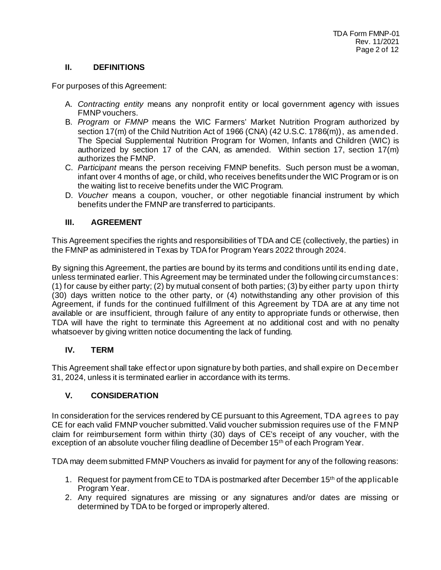## **II. DEFINITIONS**

For purposes of this Agreement:

- A. *Contracting entity* means any nonprofit entity or local government agency with issues FMNP vouchers.
- B. *Program* or *FMNP* means the WIC Farmers' Market Nutrition Program authorized by section 17(m) of the Child Nutrition Act of 1966 (CNA) (42 U.S.C. 1786(m)), as amended. The Special Supplemental Nutrition Program for Women, Infants and Children (WIC) is authorized by section 17 of the CAN, as amended. Within section 17, section  $17(m)$ authorizes the FMNP.
- C. *Participant* means the person receiving FMNP benefits. Such person must be a woman, infant over 4 months of age, or child, who receives benefits under the WIC Program or is on the waiting list to receive benefits under the WIC Program.
- D. *Voucher* means a coupon, voucher, or other negotiable financial instrument by which benefits under the FMNP are transferred to participants.

## **III. AGREEMENT**

This Agreement specifies the rights and responsibilities of TDA and CE (collectively, the parties) in the FMNP as administered in Texas by TDA for Program Years 2022 through 2024.

By signing this Agreement, the parties are bound by its terms and conditions until its ending date, unless terminated earlier. This Agreement may be terminated under the following circumstances: (1) for cause by either party; (2) by mutual consent of both parties; (3) by either party upon thirty (30) days written notice to the other party, or (4) notwithstanding any other provision of this Agreement, if funds for the continued fulfillment of this Agreement by TDA are at any time not available or are insufficient, through failure of any entity to appropriate funds or otherwise, then TDA will have the right to terminate this Agreement at no additional cost and with no penalty whatsoever by giving written notice documenting the lack of funding.

## **IV. TERM**

This Agreement shall take effect or upon signature by both parties, and shall expire on December 31, 2024, unless it is terminated earlier in accordance with its terms.

## **V. CONSIDERATION**

In consideration for the services rendered by CE pursuant to this Agreement, TDA agrees to pay CE for each valid FMNP voucher submitted. Valid voucher submission requires use of the FMNP claim for reimbursement form within thirty (30) days of CE's receipt of any voucher, with the exception of an absolute voucher filing deadline of December 15<sup>th</sup> of each Program Year.

TDA may deem submitted FMNP Vouchers as invalid for payment for any of the following reasons:

- 1. Request for payment from CE to TDA is postmarked after December  $15<sup>th</sup>$  of the applicable Program Year.
- 2. Any required signatures are missing or any signatures and/or dates are missing or determined by TDA to be forged or improperly altered.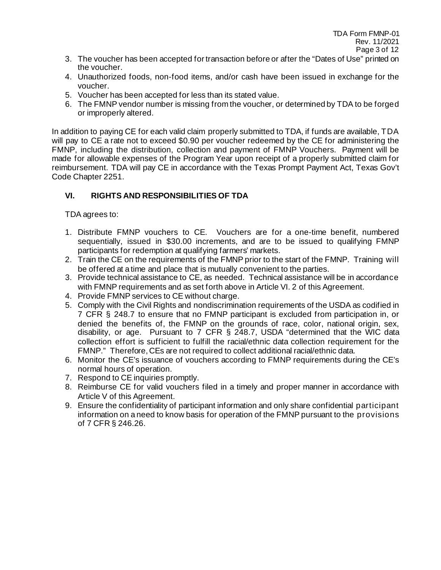- 3. The voucher has been accepted for transaction before or after the "Dates of Use" printed on the voucher.
- 4. Unauthorized foods, non-food items, and/or cash have been issued in exchange for the voucher.
- 5. Voucher has been accepted for less than its stated value.
- 6. The FMNP vendor number is missing from the voucher, or determined by TDA to be forged or improperly altered.

In addition to paying CE for each valid claim properly submitted to TDA, if funds are available, TDA will pay to CE a rate not to exceed \$0.90 per voucher redeemed by the CE for administering the FMNP, including the distribution, collection and payment of FMNP Vouchers. Payment will be made for allowable expenses of the Program Year upon receipt of a properly submitted claim for reimbursement. TDA will pay CE in accordance with the Texas Prompt Payment Act, Texas Gov't Code Chapter 2251.

# **VI. RIGHTS AND RESPONSIBILITIES OF TDA**

TDA agrees to:

- 1. Distribute FMNP vouchers to CE. Vouchers are for a one-time benefit, numbered sequentially, issued in \$30.00 increments, and are to be issued to qualifying FMNP participants for redemption at qualifying farmers' markets.
- 2. Train the CE on the requirements of the FMNP prior to the start of the FMNP. Training will be offered at a time and place that is mutually convenient to the parties.
- 3. Provide technical assistance to CE, as needed. Technical assistance will be in accordance with FMNP requirements and as set forth above in Article VI. 2 of this Agreement.
- 4. Provide FMNP services to CE without charge.
- 5. Comply with the Civil Rights and nondiscrimination requirements of the USDA as codified in 7 CFR § 248.7 to ensure that no FMNP participant is excluded from participation in, or denied the benefits of, the FMNP on the grounds of race, color, national origin, sex, disability, or age. Pursuant to 7 CFR § 248.7, USDA "determined that the WIC data collection effort is sufficient to fulfill the racial/ethnic data collection requirement for the FMNP." Therefore, CEs are not required to collect additional racial/ethnic data.
- 6. Monitor the CE's issuance of vouchers according to FMNP requirements during the CE's normal hours of operation.
- 7. Respond to CE inquiries promptly.
- 8. Reimburse CE for valid vouchers filed in a timely and proper manner in accordance with Article V of this Agreement.
- 9. Ensure the confidentiality of participant information and only share confidential participant information on a need to know basis for operation of the FMNP pursuant to the provisions of 7 CFR § 246.26.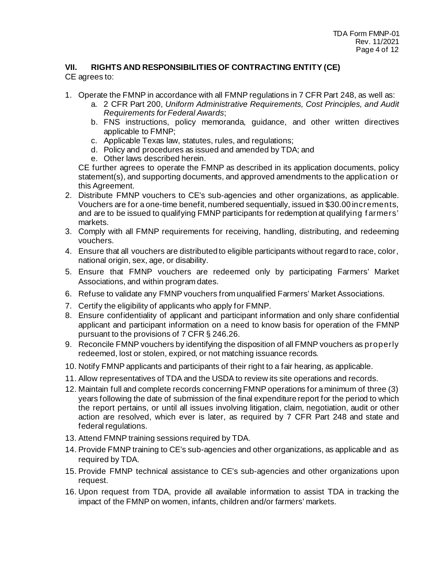#### **VII. RIGHTS AND RESPONSIBILITIES OF CONTRACTING ENTITY (CE)** CE agrees to:

- 1. Operate the FMNP in accordance with all FMNP regulations in 7 CFR Part 248, as well as:
	- a. 2 CFR Part 200, *Uniform Administrative Requirements, Cost Principles, and Audit Requirements for Federal Awards*;
	- b. FNS instructions, policy memoranda, guidance, and other written directives applicable to FMNP;
	- c. Applicable Texas law, statutes, rules, and regulations;
	- d. Policy and procedures as issued and amended by TDA; and
	- e. Other laws described herein.

CE further agrees to operate the FMNP as described in its application documents, policy statement(s), and supporting documents, and approved amendments to the application or this Agreement.

- 2. Distribute FMNP vouchers to CE's sub-agencies and other organizations, as applicable. Vouchers are for a one-time benefit, numbered sequentially, issued in \$30.00 increments, and are to be issued to qualifying FMNP participants for redemption at qualifying f armers' markets.
- 3. Comply with all FMNP requirements for receiving, handling, distributing, and redeeming vouchers.
- 4. Ensure that all vouchers are distributed to eligible participants without regard to race, color, national origin, sex, age, or disability.
- 5. Ensure that FMNP vouchers are redeemed only by participating Farmers' Market Associations, and within program dates.
- 6. Refuse to validate any FMNP vouchers from unqualified Farmers' Market Associations.
- 7. Certify the eligibility of applicants who apply for FMNP.
- 8. Ensure confidentiality of applicant and participant information and only share confidential applicant and participant information on a need to know basis for operation of the FMNP pursuant to the provisions of 7 CFR § 246.26.
- 9. Reconcile FMNP vouchers by identifying the disposition of all FMNP vouchers as properly redeemed, lost or stolen, expired, or not matching issuance records.
- 10. Notify FMNP applicants and participants of their right to a fair hearing, as applicable.
- 11. Allow representatives of TDA and the USDA to review its site operations and records.
- 12. Maintain full and complete records concerning FMNP operations for a minimum of three (3) years following the date of submission of the final expenditure report for the period to which the report pertains, or until all issues involving litigation, claim, negotiation, audit or other action are resolved, which ever is later, as required by 7 CFR Part 248 and state and federal regulations.
- 13. Attend FMNP training sessions required by TDA.
- 14. Provide FMNP training to CE's sub-agencies and other organizations, as applicable and as required by TDA.
- 15. Provide FMNP technical assistance to CE's sub-agencies and other organizations upon request.
- 16. Upon request from TDA, provide all available information to assist TDA in tracking the impact of the FMNP on women, infants, children and/or farmers' markets.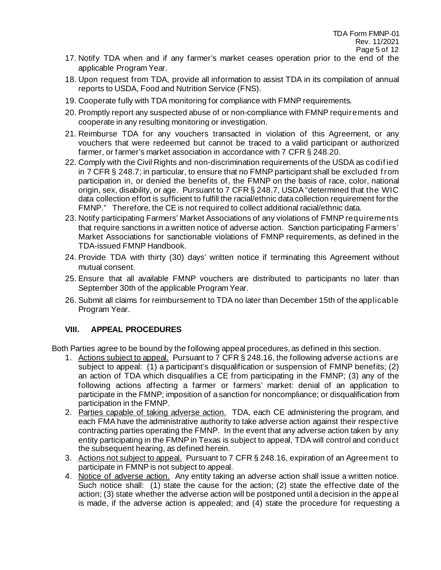- 17. Notify TDA when and if any farmer's market ceases operation prior to the end of the applicable Program Year.
- 18. Upon request from TDA, provide all information to assist TDA in its compilation of annual reports to USDA, Food and Nutrition Service (FNS).
- 19. Cooperate fully with TDA monitoring for compliance with FMNP requirements.
- 20. Promptly report any suspected abuse of or non-compliance with FMNP requirements and cooperate in any resulting monitoring or investigation.
- 21. Reimburse TDA for any vouchers transacted in violation of this Agreement, or any vouchers that were redeemed but cannot be traced to a valid participant or authorized farmer, or farmer's market association in accordance with 7 CFR § 248.20.
- 22. Comply with the Civil Rights and non-discrimination requirements of the USDA as codif ied in 7 CFR § 248.7; in particular, to ensure that no FMNP participant shall be excluded f rom participation in, or denied the benefits of, the FMNP on the basis of race, color, national origin, sex, disability, or age. Pursuant to 7 CFR § 248.7, USDA "determined that the WIC data collection effort is sufficient to fulfill the racial/ethnic data collection requirement for the FMNP." Therefore, the CE is not required to collect additional racial/ethnic data.
- 23. Notify participating Farmers' Market Associations of any violations of FMNP requirements that require sanctions in a written notice of adverse action. Sanction participating Farmers' Market Associations for sanctionable violations of FMNP requirements, as defined in the TDA-issued FMNP Handbook.
- 24. Provide TDA with thirty (30) days' written notice if terminating this Agreement without mutual consent.
- 25. Ensure that all available FMNP vouchers are distributed to participants no later than September 30th of the applicable Program Year.
- 26. Submit all claims for reimbursement to TDA no later than December 15th of the applicable Program Year.

# **VIII. APPEAL PROCEDURES**

Both Parties agree to be bound by the following appeal procedures, as defined in this section.

- 1. Actions subject to appeal. Pursuant to 7 CFR § 248.16, the following adverse actions are subject to appeal: (1) a participant's disqualification or suspension of FMNP benefits; (2) an action of TDA which disqualifies a CE from participating in the FMNP; (3) any of the following actions affecting a farmer or farmers' market: denial of an application to participate in the FMNP; imposition of a sanction for noncompliance; or disqualification from participation in the FMNP.
- 2. Parties capable of taking adverse action. TDA, each CE administering the program, and each FMA have the administrative authority to take adverse action against their respective contracting parties operating the FMNP. In the event that any adverse action taken by any entity participating in the FMNP in Texas is subject to appeal, TDA will control and conduct the subsequent hearing, as defined herein.
- 3. Actions not subject to appeal. Pursuant to 7 CFR § 248.16, expiration of an Agreement to participate in FMNP is not subject to appeal.
- 4. Notice of adverse action. Any entity taking an adverse action shall issue a written notice. Such notice shall: (1) state the cause for the action; (2) state the effective date of the action; (3) state whether the adverse action will be postponed until a decision in the appeal is made, if the adverse action is appealed; and (4) state the procedure for requesting a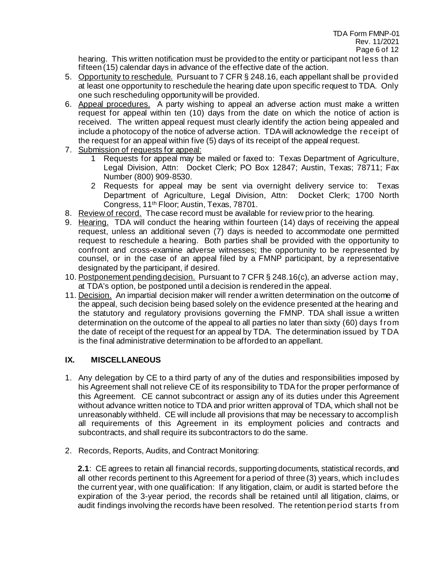hearing. This written notification must be provided to the entity or participant not less than fifteen (15) calendar days in advance of the effective date of the action.

- 5. Opportunity to reschedule. Pursuant to 7 CFR § 248.16, each appellant shall be provided at least one opportunity to reschedule the hearing date upon specific request to TDA. Only one such rescheduling opportunity will be provided.
- 6. Appeal procedures. A party wishing to appeal an adverse action must make a written request for appeal within ten (10) days from the date on which the notice of action is received. The written appeal request must clearly identify the action being appealed and include a photocopy of the notice of adverse action. TDA will acknowledge the receipt of the request for an appeal within five (5) days of its receipt of the appeal request.
- 7. Submission of requests for appeal:
	- 1 Requests for appeal may be mailed or faxed to: Texas Department of Agriculture, Legal Division, Attn: Docket Clerk; PO Box 12847; Austin, Texas; 78711; Fax Number (800) 909-8530.
	- 2 Requests for appeal may be sent via overnight delivery service to: Texas Department of Agriculture, Legal Division, Attn: Docket Clerk; 1700 North Congress, 11th Floor; Austin, Texas, 78701.
- 8. Review of record. The case record must be available for review prior to the hearing.
- 9. Hearing. TDA will conduct the hearing within fourteen (14) days of receiving the appeal request, unless an additional seven (7) days is needed to accommodate one permitted request to reschedule a hearing. Both parties shall be provided with the opportunity to confront and cross-examine adverse witnesses; the opportunity to be represented by counsel, or in the case of an appeal filed by a FMNP participant, by a representative designated by the participant, if desired.
- 10. Postponement pending decision. Pursuant to 7 CFR § 248.16(c), an adverse action may, at TDA's option, be postponed until a decision is rendered in the appeal.
- 11. Decision. An impartial decision maker will render a written determination on the outcome of the appeal, such decision being based solely on the evidence presented at the hearing and the statutory and regulatory provisions governing the FMNP. TDA shall issue a written determination on the outcome of the appeal to all parties no later than sixty (60) days from the date of receipt of the request for an appeal by TDA. The determination issued by TDA is the final administrative determination to be afforded to an appellant.

## **IX. MISCELLANEOUS**

- 1. Any delegation by CE to a third party of any of the duties and responsibilities imposed by his Agreement shall not relieve CE of its responsibility to TDA for the proper performance of this Agreement. CE cannot subcontract or assign any of its duties under this Agreement without advance written notice to TDA and prior written approval of TDA, which shall not be unreasonably withheld. CE will include all provisions that may be necessary to accomplish all requirements of this Agreement in its employment policies and contracts and subcontracts, and shall require its subcontractors to do the same.
- 2. Records, Reports, Audits, and Contract Monitoring:

**2.1**: CE agrees to retain all financial records, supporting documents, statistical records, and all other records pertinent to this Agreement for a period of three (3) years, which includes the current year, with one qualification: If any litigation, claim, or audit is started before the expiration of the 3-year period, the records shall be retained until all litigation, claims, or audit findings involving the records have been resolved. The retention period starts f rom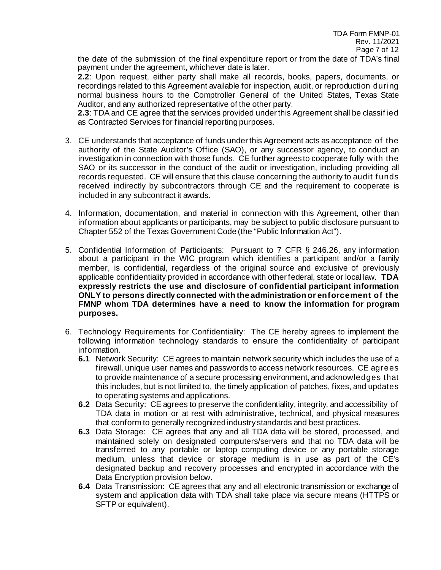the date of the submission of the final expenditure report or from the date of TDA's final payment under the agreement, whichever date is later.

**2.2**: Upon request, either party shall make all records, books, papers, documents, or recordings related to this Agreement available for inspection, audit, or reproduction during normal business hours to the Comptroller General of the United States, Texas State Auditor, and any authorized representative of the other party.

**2.3**: TDA and CE agree that the services provided under this Agreement shall be classif ied as Contracted Services for financial reporting purposes.

- 3. CE understands that acceptance of funds under this Agreement acts as acceptance of the authority of the State Auditor's Office (SAO), or any successor agency, to conduct an investigation in connection with those funds. CE further agrees to cooperate fully with the SAO or its successor in the conduct of the audit or investigation, including providing all records requested. CE will ensure that this clause concerning the authority to audit f unds received indirectly by subcontractors through CE and the requirement to cooperate is included in any subcontract it awards.
- 4. Information, documentation, and material in connection with this Agreement, other than information about applicants or participants, may be subject to public disclosure pursuant to Chapter 552 of the Texas Government Code (the "Public Information Act").
- 5. Confidential Information of Participants: Pursuant to 7 CFR § 246.26, any information about a participant in the WIC program which identifies a participant and/or a family member, is confidential, regardless of the original source and exclusive of previously applicable confidentiality provided in accordance with other federal, state or local law. **TDA expressly restricts the use and disclosure of confidential participant information ONLY to persons directly connected with the administration or enforcement of the FMNP whom TDA determines have a need to know the information for program purposes.**
- 6. Technology Requirements for Confidentiality: The CE hereby agrees to implement the following information technology standards to ensure the confidentiality of participant information.
	- **6.1** Network Security: CE agrees to maintain network security which includes the use of a firewall, unique user names and passwords to access network resources. CE agrees to provide maintenance of a secure processing environment, and acknowledges that this includes, but is not limited to, the timely application of patches, fixes, and updates to operating systems and applications.
	- **6.2** Data Security: CE agrees to preserve the confidentiality, integrity, and accessibility of TDA data in motion or at rest with administrative, technical, and physical measures that conform to generally recognized industry standards and best practices.
	- **6.3** Data Storage: CE agrees that any and all TDA data will be stored, processed, and maintained solely on designated computers/servers and that no TDA data will be transferred to any portable or laptop computing device or any portable storage medium, unless that device or storage medium is in use as part of the CE's designated backup and recovery processes and encrypted in accordance with the Data Encryption provision below.
	- **6.4** Data Transmission: CE agrees that any and all electronic transmission or exchange of system and application data with TDA shall take place via secure means (HTTPS or SFTP or equivalent).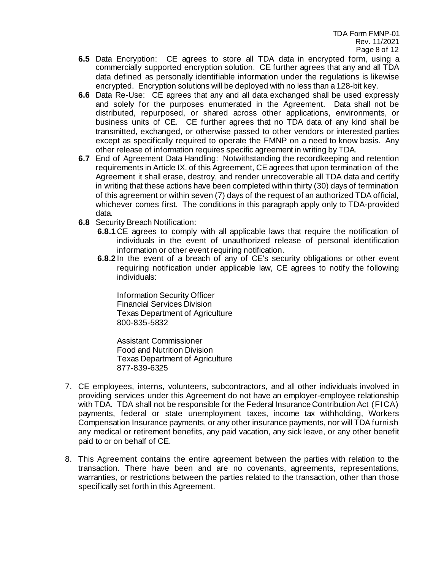- **6.5** Data Encryption: CE agrees to store all TDA data in encrypted form, using a commercially supported encryption solution. CE further agrees that any and all TDA data defined as personally identifiable information under the regulations is likewise encrypted. Encryption solutions will be deployed with no less than a 128-bit key.
- **6.6** Data Re-Use: CE agrees that any and all data exchanged shall be used expressly and solely for the purposes enumerated in the Agreement. Data shall not be distributed, repurposed, or shared across other applications, environments, or business units of CE. CE further agrees that no TDA data of any kind shall be transmitted, exchanged, or otherwise passed to other vendors or interested parties except as specifically required to operate the FMNP on a need to know basis. Any other release of information requires specific agreement in writing by TDA.
- **6.7** End of Agreement Data Handling: Notwithstanding the recordkeeping and retention requirements in Article IX. of this Agreement, CE agrees that upon termination of the Agreement it shall erase, destroy, and render unrecoverable all TDA data and certify in writing that these actions have been completed within thirty (30) days of termination of this agreement or within seven (7) days of the request of an authorized TDA official, whichever comes first. The conditions in this paragraph apply only to TDA-provided data.
- **6.8** Security Breach Notification:
	- **6.8.1** CE agrees to comply with all applicable laws that require the notification of individuals in the event of unauthorized release of personal identification information or other event requiring notification.
	- **6.8.2** In the event of a breach of any of CE's security obligations or other event requiring notification under applicable law, CE agrees to notify the following individuals:

Information Security Officer Financial Services Division Texas Department of Agriculture 800-835-5832

Assistant Commissioner Food and Nutrition Division Texas Department of Agriculture 877-839-6325

- 7. CE employees, interns, volunteers, subcontractors, and all other individuals involved in providing services under this Agreement do not have an employer-employee relationship with TDA. TDA shall not be responsible for the Federal Insurance Contribution Act (FICA) payments, federal or state unemployment taxes, income tax withholding, Workers Compensation Insurance payments, or any other insurance payments, nor will TDA furnish any medical or retirement benefits, any paid vacation, any sick leave, or any other benefit paid to or on behalf of CE.
- 8. This Agreement contains the entire agreement between the parties with relation to the transaction. There have been and are no covenants, agreements, representations, warranties, or restrictions between the parties related to the transaction, other than those specifically set forth in this Agreement.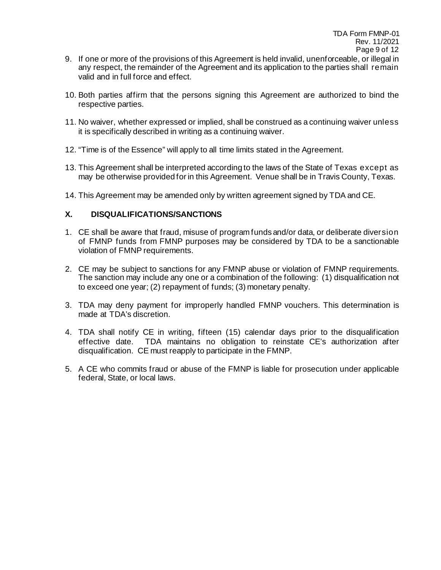- 9. If one or more of the provisions of this Agreement is held invalid, unenforceable, or illegal in any respect, the remainder of the Agreement and its application to the parties shall remain valid and in full force and effect.
- 10. Both parties affirm that the persons signing this Agreement are authorized to bind the respective parties.
- 11. No waiver, whether expressed or implied, shall be construed as a continuing waiver unless it is specifically described in writing as a continuing waiver.
- 12. "Time is of the Essence" will apply to all time limits stated in the Agreement.
- 13. This Agreement shall be interpreted according to the laws of the State of Texas except as may be otherwise provided for in this Agreement. Venue shall be in Travis County, Texas.
- 14. This Agreement may be amended only by written agreement signed by TDA and CE.

## **X. DISQUALIFICATIONS/SANCTIONS**

- 1. CE shall be aware that fraud, misuse of program funds and/or data, or deliberate diversion of FMNP funds from FMNP purposes may be considered by TDA to be a sanctionable violation of FMNP requirements.
- 2. CE may be subject to sanctions for any FMNP abuse or violation of FMNP requirements. The sanction may include any one or a combination of the following: (1) disqualification not to exceed one year; (2) repayment of funds; (3) monetary penalty.
- 3. TDA may deny payment for improperly handled FMNP vouchers. This determination is made at TDA's discretion.
- 4. TDA shall notify CE in writing, fifteen (15) calendar days prior to the disqualification effective date. TDA maintains no obligation to reinstate CE's authorization after disqualification. CE must reapply to participate in the FMNP.
- 5. A CE who commits fraud or abuse of the FMNP is liable for prosecution under applicable federal, State, or local laws.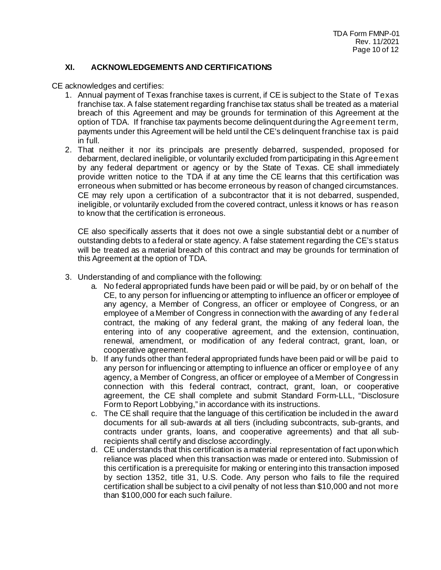## **XI. ACKNOWLEDGEMENTS AND CERTIFICATIONS**

CE acknowledges and certifies:

- 1. Annual payment of Texas franchise taxes is current, if CE is subject to the State of Texas franchise tax. A false statement regarding franchise tax status shall be treated as a material breach of this Agreement and may be grounds for termination of this Agreement at the option of TDA. If franchise tax payments become delinquent during the Agreement term, payments under this Agreement will be held until the CE's delinquent franchise tax is paid in full.
- 2. That neither it nor its principals are presently debarred, suspended, proposed for debarment, declared ineligible, or voluntarily excluded from participating in this Agreement by any federal department or agency or by the State of Texas. CE shall immediately provide written notice to the TDA if at any time the CE learns that this certification was erroneous when submitted or has become erroneous by reason of changed circumstances. CE may rely upon a certification of a subcontractor that it is not debarred, suspended, ineligible, or voluntarily excluded from the covered contract, unless it knows or has reason to know that the certification is erroneous.

CE also specifically asserts that it does not owe a single substantial debt or a number of outstanding debts to a federal or state agency. A false statement regarding the CE's status will be treated as a material breach of this contract and may be grounds for termination of this Agreement at the option of TDA.

- 3. Understanding of and compliance with the following:
	- a. No federal appropriated funds have been paid or will be paid, by or on behalf of the CE, to any person for influencing or attempting to influence an officer or employee of any agency, a Member of Congress, an officer or employee of Congress, or an employee of a Member of Congress in connection with the awarding of any f ederal contract, the making of any federal grant, the making of any federal loan, the entering into of any cooperative agreement, and the extension, continuation, renewal, amendment, or modification of any federal contract, grant, loan, or cooperative agreement.
	- b. If any funds other than federal appropriated funds have been paid or will be paid to any person for influencing or attempting to influence an officer or employee of any agency, a Member of Congress, an officer or employee of a Member of Congress in connection with this federal contract, contract, grant, loan, or cooperative agreement, the CE shall complete and submit Standard Form-LLL, "Disclosure Form to Report Lobbying," in accordance with its instructions.
	- c. The CE shall require that the language of this certification be included in the award documents for all sub-awards at all tiers (including subcontracts, sub-grants, and contracts under grants, loans, and cooperative agreements) and that all subrecipients shall certify and disclose accordingly.
	- d. CE understands that this certification is a material representation of fact upon which reliance was placed when this transaction was made or entered into. Submission of this certification is a prerequisite for making or entering into this transaction imposed by section 1352, title 31, U.S. Code. Any person who fails to file the required certification shall be subject to a civil penalty of not less than \$10,000 and not more than \$100,000 for each such failure.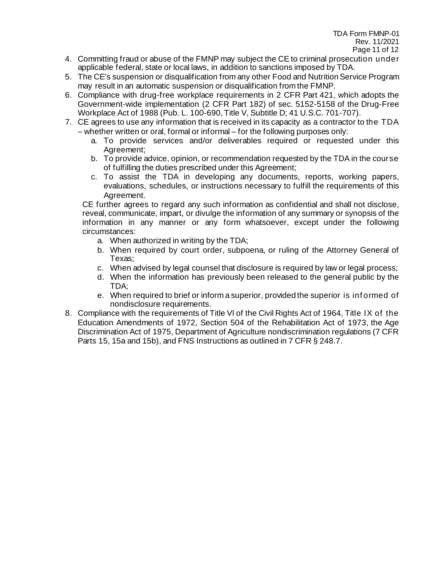- 4. Committing fraud or abuse of the FMNP may subject the CE to criminal prosecution under applicable federal, state or local laws, in addition to sanctions imposed by TDA.
- 5. The CE's suspension or disqualification from any other Food and Nutrition Service Program may result in an automatic suspension or disqualification from the FMNP.
- 6. Compliance with drug-free workplace requirements in 2 CFR Part 421, which adopts the Government-wide implementation (2 CFR Part 182) of sec. 5152-5158 of the Drug-Free Workplace Act of 1988 (Pub. L. 100-690, Title V, Subtitle D; 41 U.S.C. 701-707).
- 7. CE agrees to use any information that is received in its capacity as a contractor to the TDA – whether written or oral, formal or informal – for the following purposes only:
	- a. To provide services and/or deliverables required or requested under this Agreement;
	- b. To provide advice, opinion, or recommendation requested by the TDA in the course of fulfilling the duties prescribed under this Agreement;
	- c. To assist the TDA in developing any documents, reports, working papers, evaluations, schedules, or instructions necessary to fulfill the requirements of this Agreement.

CE further agrees to regard any such information as confidential and shall not disclose, reveal, communicate, impart, or divulge the information of any summary or synopsis of the information in any manner or any form whatsoever, except under the following circumstances:

- a. When authorized in writing by the TDA;
- b. When required by court order, subpoena, or ruling of the Attorney General of Texas;
- c. When advised by legal counsel that disclosure is required by law or legal process;
- d. When the information has previously been released to the general public by the TDA;
- e. When required to brief or inform a superior, provided the superior is informed of nondisclosure requirements.
- 8. Compliance with the requirements of Title VI of the Civil Rights Act of 1964, Title IX of the Education Amendments of 1972, Section 504 of the Rehabilitation Act of 1973, the Age Discrimination Act of 1975, Department of Agriculture nondiscrimination regulations (7 CFR Parts 15, 15a and 15b), and FNS Instructions as outlined in 7 CFR § 248.7.